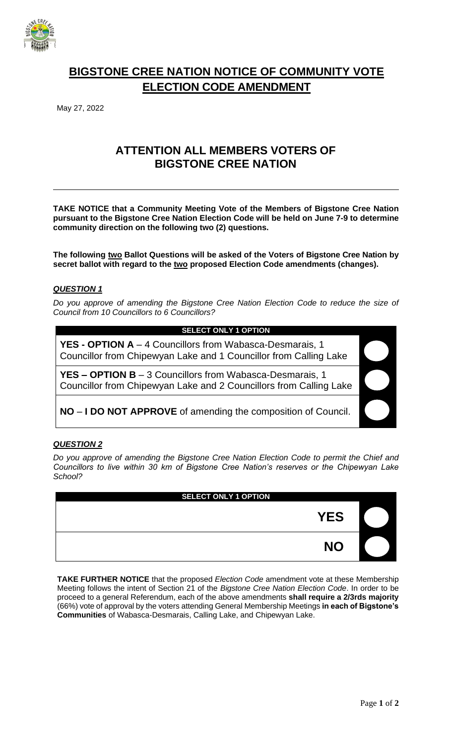

# **BIGSTONE CREE NATION NOTICE OF COMMUNITY VOTE ELECTION CODE AMENDMENT**

May 27, 2022

## **ATTENTION ALL MEMBERS VOTERS OF BIGSTONE CREE NATION**

**TAKE NOTICE that a Community Meeting Vote of the Members of Bigstone Cree Nation pursuant to the Bigstone Cree Nation Election Code will be held on June 7-9 to determine community direction on the following two (2) questions.**

**The following two Ballot Questions will be asked of the Voters of Bigstone Cree Nation by secret ballot with regard to the two proposed Election Code amendments (changes).**

#### *QUESTION 1*

*Do you approve of amending the Bigstone Cree Nation Election Code to reduce the size of Council from 10 Councillors to 6 Councillors?*

#### **SELECT ONLY 1 OPTION**

**YES - OPTION A** – 4 Councillors from Wabasca-Desmarais, 1 Councillor from Chipewyan Lake and 1 Councillor from Calling Lake

**YES – OPTION B** – 3 Councillors from Wabasca-Desmarais, 1 Councillor from Chipewyan Lake and 2 Councillors from Calling Lake

**NO** – **I DO NOT APPROVE** of amending the composition of Council.

#### *QUESTION 2*

*Do you approve of amending the Bigstone Cree Nation Election Code to permit the Chief and Councillors to live within 30 km of Bigstone Cree Nation's reserves or the Chipewyan Lake School?*

| <b>SELECT ONLY 1 OPTION</b> |            |  |
|-----------------------------|------------|--|
|                             | <b>YES</b> |  |
|                             | <b>NO</b>  |  |

**TAKE FURTHER NOTICE** that the proposed *Election Code* amendment vote at these Membership Meeting follows the intent of Section 21 of the *Bigstone Cree Nation Election Code*. In order to be proceed to a general Referendum, each of the above amendments **shall require a 2/3rds majority** (66%) vote of approval by the voters attending General Membership Meetings **in each of Bigstone's Communities** of Wabasca-Desmarais, Calling Lake, and Chipewyan Lake.